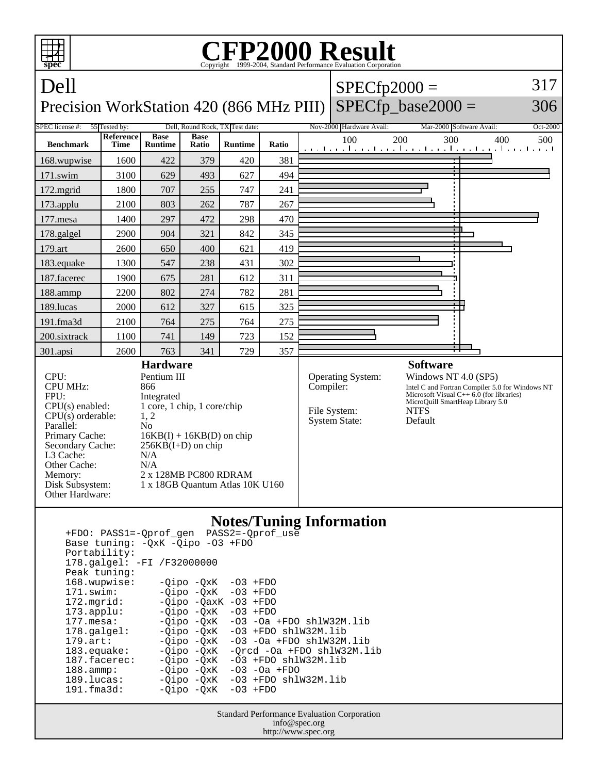

 178.galgel: -FI /F32000000 Peak tuning: 168.wupwise: -Qipo -QxK -O3 +FDO 171.swim: -Qipo -QxK -O3 +FDO 172.mgrid: -Qipo -QaxK -O3 +FDO<br>173.applu: -Qipo -QxK -O3 +FDO  $-Qipo -QxK$  177.mesa: -Qipo -QxK -O3 -Oa +FDO shlW32M.lib 178.galgel: - Qipo - QxK - 03 + FDO shlW32M.lib 179.art: -Qipo -QxK -O3 -Oa +FDO shlW32M.lib<br>183.equake: -Qipo -QxK -Qrcd -Oa +FDO shlW32M.l 183.equake: -Qipo -QxK -Qrcd -Oa +FDO shlW32M.lib<br>187.facerec: -Qipo -QxK -O3 +FDO shlW32M.lib  $-03$  +FDO shlW32M.lib 188.ammp: -Qipo -QxK -O3 -Oa +FDO 189.lucas: -Qipo -QxK -O3 +FDO shlW32M.lib<br>191.fma3d: - -Oipo -OxK -O3 +FDO  $-Qipo -QxK$ 

> Standard Performance Evaluation Corporation info@spec.org http://www.spec.org